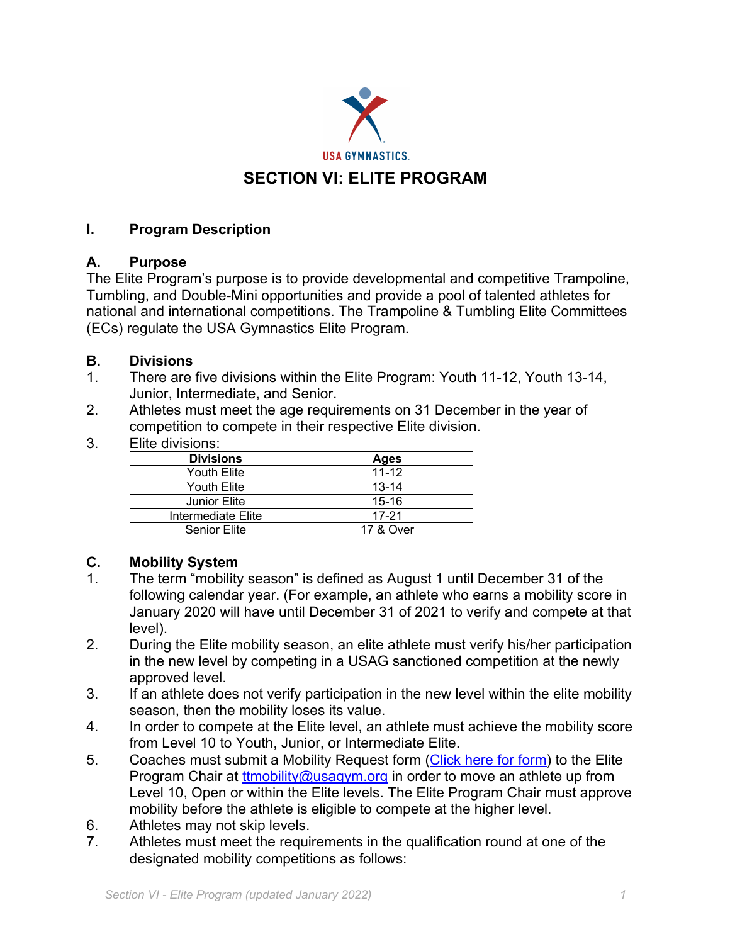

# **I. Program Description**

## **A. Purpose**

The Elite Program's purpose is to provide developmental and competitive Trampoline, Tumbling, and Double-Mini opportunities and provide a pool of talented athletes for national and international competitions. The Trampoline & Tumbling Elite Committees (ECs) regulate the USA Gymnastics Elite Program.

## **B. Divisions**

- 1. There are five divisions within the Elite Program: Youth 11-12, Youth 13-14, Junior, Intermediate, and Senior.
- 2. Athletes must meet the age requirements on 31 December in the year of competition to compete in their respective Elite division.
- 3. Elite divisions:

| <b>Divisions</b>    | Ages      |
|---------------------|-----------|
| Youth Elite         | $11 - 12$ |
| Youth Elite         | $13 - 14$ |
| Junior Elite        | $15 - 16$ |
| Intermediate Elite  | $17 - 21$ |
| <b>Senior Elite</b> | 17 & Over |
|                     |           |

# **C. Mobility System**

- 1. The term "mobility season" is defined as August 1 until December 31 of the following calendar year. (For example, an athlete who earns a mobility score in January 2020 will have until December 31 of 2021 to verify and compete at that level).
- 2. During the Elite mobility season, an elite athlete must verify his/her participation in the new level by competing in a USAG sanctioned competition at the newly approved level.
- 3. If an athlete does not verify participation in the new level within the elite mobility season, then the mobility loses its value.
- 4. In order to compete at the Elite level, an athlete must achieve the mobility score from Level 10 to Youth, Junior, or Intermediate Elite.
- 5. Coaches must submit a Mobility Request form (Click here for form) to the Elite Program Chair at ttmobility@usagym.org in order to move an athlete up from Level 10, Open or within the Elite levels. The Elite Program Chair must approve mobility before the athlete is eligible to compete at the higher level.
- 6. Athletes may not skip levels.
- 7. Athletes must meet the requirements in the qualification round at one of the designated mobility competitions as follows: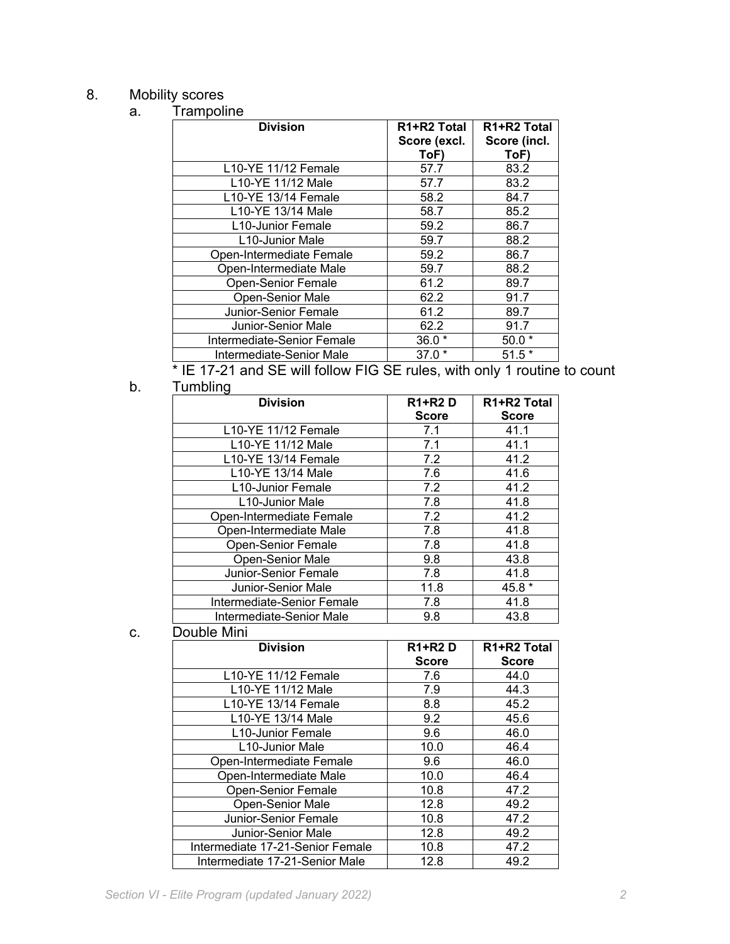#### 8. Mobility scores a. Trampoline

| <b>Division</b>              | R1+R2 Total  | R <sub>1</sub> +R <sub>2</sub> Total |
|------------------------------|--------------|--------------------------------------|
|                              | Score (excl. | Score (incl.                         |
|                              |              |                                      |
|                              | ToF)         | ToF)                                 |
| L10-YE 11/12 Female          | 57.7         | 83.2                                 |
| L10-YE 11/12 Male            | 57.7         | 83.2                                 |
| L10-YE 13/14 Female          | 58.2         | 84.7                                 |
| L10-YE 13/14 Male            | 58.7         | 85.2                                 |
| L10-Junior Female            | 59.2         | 86.7                                 |
| L <sub>10</sub> -Junior Male | 59.7         | 88.2                                 |
| Open-Intermediate Female     | 59.2         | 86.7                                 |
| Open-Intermediate Male       | 59.7         | 88.2                                 |
| <b>Open-Senior Female</b>    | 61.2         | 89.7                                 |
| Open-Senior Male             | 62.2         | 91.7                                 |
| Junior-Senior Female         | 61.2         | 89.7                                 |
| Junior-Senior Male           | 62.2         | 91.7                                 |
| Intermediate-Senior Female   | $36.0*$      | $50.0*$                              |
| Intermediate-Senior Male     | $37.0*$      | $51.5*$                              |

\* IE 17-21 and SE will follow FIG SE rules, with only 1 routine to count b. Tumbling

| <b>Division</b>              | <b>R1+R2D</b> | R <sub>1</sub> +R <sub>2</sub> Total |
|------------------------------|---------------|--------------------------------------|
|                              | <b>Score</b>  | <b>Score</b>                         |
| L10-YE 11/12 Female          | 7.1           | 41.1                                 |
| L10-YE 11/12 Male            | 7.1           | 41.1                                 |
| L10-YE 13/14 Female          | 7.2           | 41.2                                 |
| L10-YE 13/14 Male            | 7.6           | 41.6                                 |
| L10-Junior Female            | 7.2           | 41.2                                 |
| L <sub>10</sub> -Junior Male | 7.8           | 41.8                                 |
| Open-Intermediate Female     | 7.2           | 41.2                                 |
| Open-Intermediate Male       | 7.8           | 41.8                                 |
| <b>Open-Senior Female</b>    | 7.8           | 41.8                                 |
| Open-Senior Male             | 9.8           | 43.8                                 |
| Junior-Senior Female         | 7.8           | 41.8                                 |
| Junior-Senior Male           | 11.8          | 45.8 *                               |
| Intermediate-Senior Female   | 7.8           | 41.8                                 |
| Intermediate-Senior Male     | 9.8           | 43.8                                 |
| .                            |               |                                      |

#### c. Double Mini

| <b>Division</b>                  | <b>R1+R2D</b> | R <sub>1</sub> +R <sub>2</sub> Total |
|----------------------------------|---------------|--------------------------------------|
|                                  | <b>Score</b>  | <b>Score</b>                         |
| L10-YE 11/12 Female              | 7.6           | 44.0                                 |
| L10-YE 11/12 Male                | 7.9           | 44.3                                 |
| L10-YE 13/14 Female              | 8.8           | 45.2                                 |
| L10-YE 13/14 Male                | 9.2           | 45.6                                 |
| L10-Junior Female                | 9.6           | 46.0                                 |
| L <sub>10</sub> -Junior Male     | 10.0          | 46.4                                 |
| Open-Intermediate Female         | 9.6           | 46.0                                 |
| Open-Intermediate Male           | 10.0          | 46.4                                 |
| <b>Open-Senior Female</b>        | 10.8          | 47.2                                 |
| <b>Open-Senior Male</b>          | 12.8          | 49.2                                 |
| Junior-Senior Female             | 10.8          | 47.2                                 |
| Junior-Senior Male               | 12.8          | 49.2                                 |
| Intermediate 17-21-Senior Female | 10.8          | 47.2                                 |
| Intermediate 17-21-Senior Male   | 12.8          | 49.2                                 |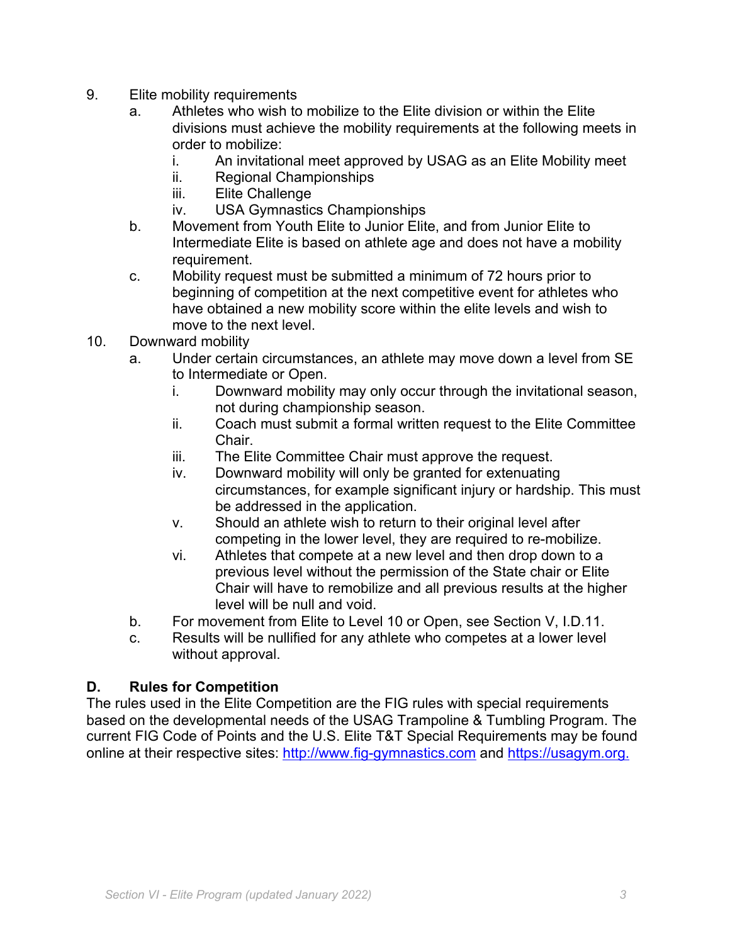- 9. Elite mobility requirements
	- a. Athletes who wish to mobilize to the Elite division or within the Elite divisions must achieve the mobility requirements at the following meets in order to mobilize:
		- i. An invitational meet approved by USAG as an Elite Mobility meet
		- ii. Regional Championships
		- iii. Elite Challenge
		- iv. USA Gymnastics Championships
	- b. Movement from Youth Elite to Junior Elite, and from Junior Elite to Intermediate Elite is based on athlete age and does not have a mobility requirement.
	- c. Mobility request must be submitted a minimum of 72 hours prior to beginning of competition at the next competitive event for athletes who have obtained a new mobility score within the elite levels and wish to move to the next level.
- 10. Downward mobility
	- a. Under certain circumstances, an athlete may move down a level from SE to Intermediate or Open.
		- i. Downward mobility may only occur through the invitational season, not during championship season.
		- ii. Coach must submit a formal written request to the Elite Committee Chair.
		- iii. The Elite Committee Chair must approve the request.
		- iv. Downward mobility will only be granted for extenuating circumstances, for example significant injury or hardship. This must be addressed in the application.
		- v. Should an athlete wish to return to their original level after competing in the lower level, they are required to re-mobilize.
		- vi. Athletes that compete at a new level and then drop down to a previous level without the permission of the State chair or Elite Chair will have to remobilize and all previous results at the higher level will be null and void.
	- b. For movement from Elite to Level 10 or Open, see Section V, I.D.11.
	- c. Results will be nullified for any athlete who competes at a lower level without approval.

## **D. Rules for Competition**

The rules used in the Elite Competition are the FIG rules with special requirements based on the developmental needs of the USAG Trampoline & Tumbling Program. The current FIG Code of Points and the U.S. Elite T&T Special Requirements may be found online at their respective sites: http://www.fig-gymnastics.com and https://usagym.org.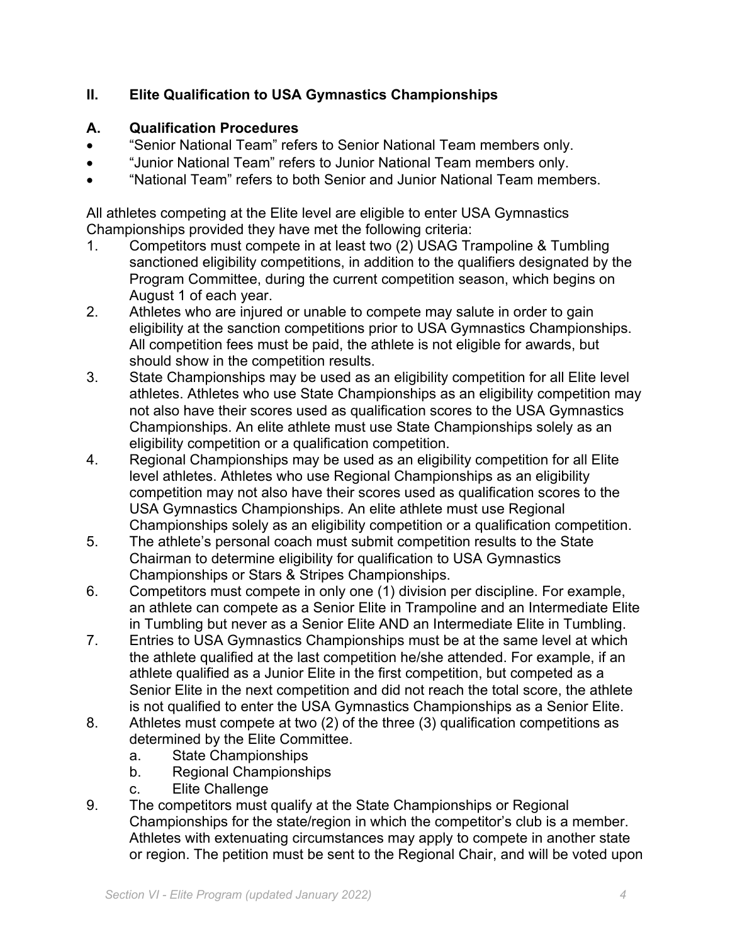# **II. Elite Qualification to USA Gymnastics Championships**

## **A. Qualification Procedures**

- "Senior National Team" refers to Senior National Team members only.
- "Junior National Team" refers to Junior National Team members only.
- "National Team" refers to both Senior and Junior National Team members.

All athletes competing at the Elite level are eligible to enter USA Gymnastics Championships provided they have met the following criteria:

- 1. Competitors must compete in at least two (2) USAG Trampoline & Tumbling sanctioned eligibility competitions, in addition to the qualifiers designated by the Program Committee, during the current competition season, which begins on August 1 of each year.
- 2. Athletes who are injured or unable to compete may salute in order to gain eligibility at the sanction competitions prior to USA Gymnastics Championships. All competition fees must be paid, the athlete is not eligible for awards, but should show in the competition results.
- 3. State Championships may be used as an eligibility competition for all Elite level athletes. Athletes who use State Championships as an eligibility competition may not also have their scores used as qualification scores to the USA Gymnastics Championships. An elite athlete must use State Championships solely as an eligibility competition or a qualification competition.
- 4. Regional Championships may be used as an eligibility competition for all Elite level athletes. Athletes who use Regional Championships as an eligibility competition may not also have their scores used as qualification scores to the USA Gymnastics Championships. An elite athlete must use Regional Championships solely as an eligibility competition or a qualification competition.
- 5. The athlete's personal coach must submit competition results to the State Chairman to determine eligibility for qualification to USA Gymnastics Championships or Stars & Stripes Championships.
- 6. Competitors must compete in only one (1) division per discipline. For example, an athlete can compete as a Senior Elite in Trampoline and an Intermediate Elite in Tumbling but never as a Senior Elite AND an Intermediate Elite in Tumbling.
- 7. Entries to USA Gymnastics Championships must be at the same level at which the athlete qualified at the last competition he/she attended. For example, if an athlete qualified as a Junior Elite in the first competition, but competed as a Senior Elite in the next competition and did not reach the total score, the athlete is not qualified to enter the USA Gymnastics Championships as a Senior Elite.
- 8. Athletes must compete at two (2) of the three (3) qualification competitions as determined by the Elite Committee.
	- a. State Championships
	- b. Regional Championships
	- c. Elite Challenge
- 9. The competitors must qualify at the State Championships or Regional Championships for the state/region in which the competitor's club is a member. Athletes with extenuating circumstances may apply to compete in another state or region. The petition must be sent to the Regional Chair, and will be voted upon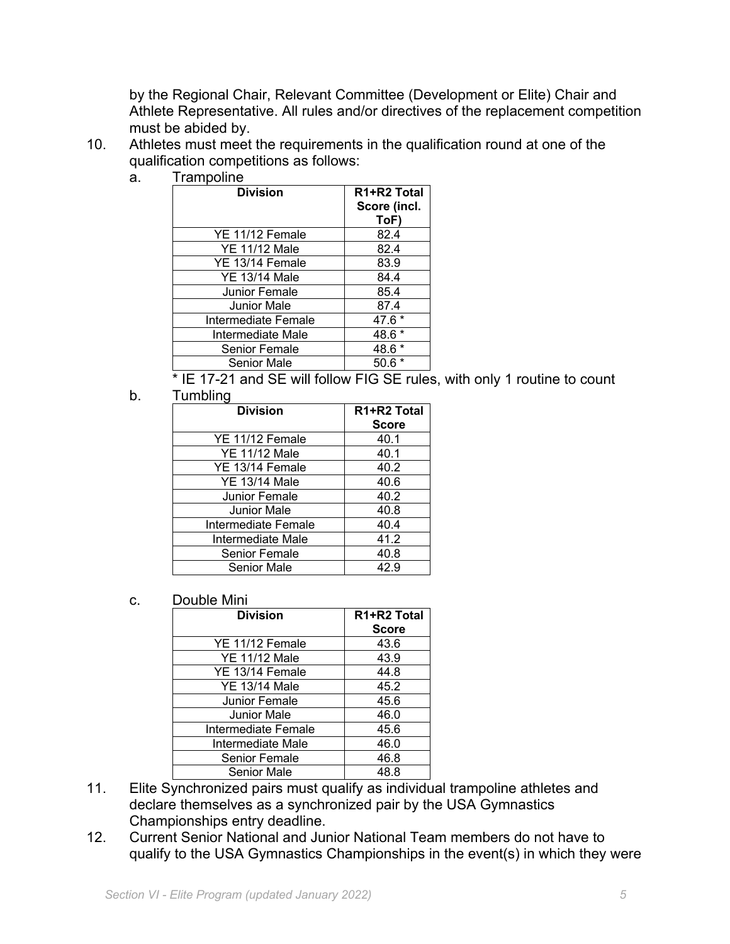by the Regional Chair, Relevant Committee (Development or Elite) Chair and Athlete Representative. All rules and/or directives of the replacement competition must be abided by.

- 10. Athletes must meet the requirements in the qualification round at one of the qualification competitions as follows:
	- a. Trampoline

| <b>Division</b>      | R <sub>1</sub> +R <sub>2</sub> Total<br>Score (incl.<br>ToF |
|----------------------|-------------------------------------------------------------|
| YE 11/12 Female      | 82.4                                                        |
| <b>YE 11/12 Male</b> | 82.4                                                        |
| YE 13/14 Female      | 83.9                                                        |
| <b>YE 13/14 Male</b> | 84.4                                                        |
| Junior Female        | 85.4                                                        |
| Junior Male          | 87.4                                                        |
| Intermediate Female  | 47.6 *                                                      |
| Intermediate Male    | 48.6                                                        |
| Senior Female        | 48.6                                                        |
| <b>Senior Male</b>   | 50.6                                                        |
|                      |                                                             |

\* IE 17-21 and SE will follow FIG SE rules, with only 1 routine to count

b. Tumbling

| <b>Division</b>      | R <sub>1</sub> +R <sub>2</sub> Total |
|----------------------|--------------------------------------|
|                      | <b>Score</b>                         |
| YE 11/12 Female      | 40.1                                 |
| <b>YE 11/12 Male</b> | 40.1                                 |
| YE 13/14 Female      | 40.2                                 |
| <b>YE 13/14 Male</b> | 40.6                                 |
| Junior Female        | 40.2                                 |
| <b>Junior Male</b>   | 40.8                                 |
| Intermediate Female  | 40.4                                 |
| Intermediate Male    | 41.2                                 |
| <b>Senior Female</b> | 40.8                                 |
| <b>Senior Male</b>   | 42.9                                 |

c. Double Mini

| <b>Division</b>      | R <sub>1</sub> +R <sub>2</sub> Total |
|----------------------|--------------------------------------|
|                      | <b>Score</b>                         |
| YE 11/12 Female      | 43.6                                 |
| <b>YE 11/12 Male</b> | 43.9                                 |
| YE 13/14 Female      | 44.8                                 |
| YE 13/14 Male        | 45.2                                 |
| Junior Female        | 45.6                                 |
| Junior Male          | 46.0                                 |
| Intermediate Female  | 45.6                                 |
| Intermediate Male    | 46.0                                 |
| Senior Female        | 46.8                                 |
| <b>Senior Male</b>   | 48.8                                 |

- 11. Elite Synchronized pairs must qualify as individual trampoline athletes and declare themselves as a synchronized pair by the USA Gymnastics Championships entry deadline.
- 12. Current Senior National and Junior National Team members do not have to qualify to the USA Gymnastics Championships in the event(s) in which they were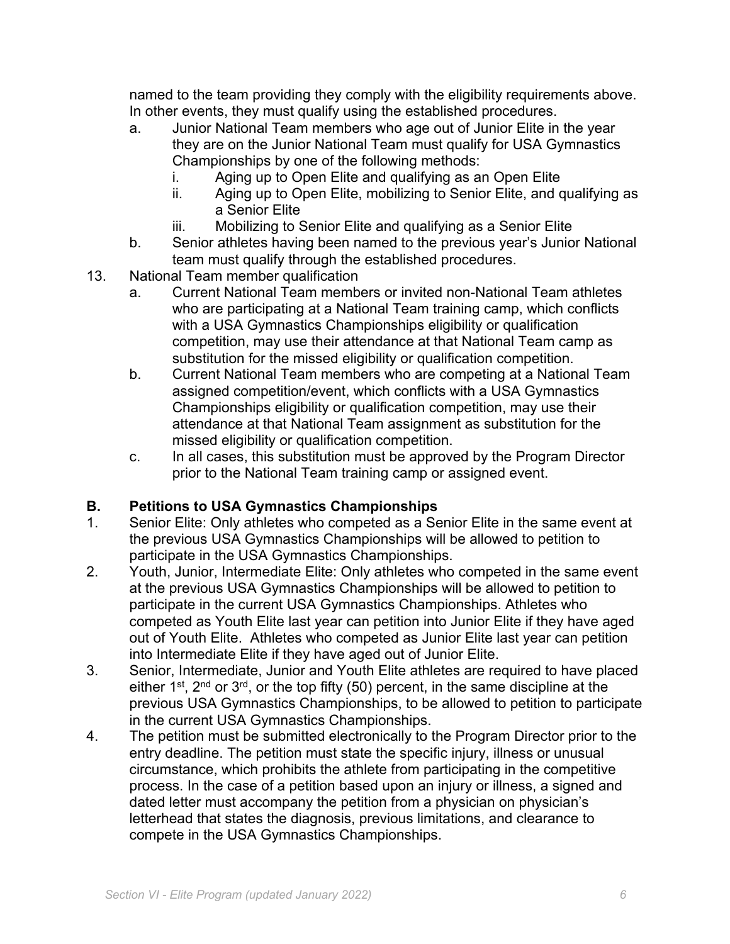named to the team providing they comply with the eligibility requirements above. In other events, they must qualify using the established procedures.

- a. Junior National Team members who age out of Junior Elite in the year they are on the Junior National Team must qualify for USA Gymnastics Championships by one of the following methods:
	- i. Aging up to Open Elite and qualifying as an Open Elite
	- ii. Aging up to Open Elite, mobilizing to Senior Elite, and qualifying as a Senior Elite
	- iii. Mobilizing to Senior Elite and qualifying as a Senior Elite
- b. Senior athletes having been named to the previous year's Junior National team must qualify through the established procedures.
- 13. National Team member qualification
	- a. Current National Team members or invited non-National Team athletes who are participating at a National Team training camp, which conflicts with a USA Gymnastics Championships eligibility or qualification competition, may use their attendance at that National Team camp as substitution for the missed eligibility or qualification competition.
	- b. Current National Team members who are competing at a National Team assigned competition/event, which conflicts with a USA Gymnastics Championships eligibility or qualification competition, may use their attendance at that National Team assignment as substitution for the missed eligibility or qualification competition.
	- c. In all cases, this substitution must be approved by the Program Director prior to the National Team training camp or assigned event.

## **B. Petitions to USA Gymnastics Championships**

- 1. Senior Elite: Only athletes who competed as a Senior Elite in the same event at the previous USA Gymnastics Championships will be allowed to petition to participate in the USA Gymnastics Championships.
- 2. Youth, Junior, Intermediate Elite: Only athletes who competed in the same event at the previous USA Gymnastics Championships will be allowed to petition to participate in the current USA Gymnastics Championships. Athletes who competed as Youth Elite last year can petition into Junior Elite if they have aged out of Youth Elite. Athletes who competed as Junior Elite last year can petition into Intermediate Elite if they have aged out of Junior Elite.
- 3. Senior, Intermediate, Junior and Youth Elite athletes are required to have placed either  $1^{st}$ ,  $2^{nd}$  or  $3^{rd}$ , or the top fifty (50) percent, in the same discipline at the previous USA Gymnastics Championships, to be allowed to petition to participate in the current USA Gymnastics Championships.
- 4. The petition must be submitted electronically to the Program Director prior to the entry deadline. The petition must state the specific injury, illness or unusual circumstance, which prohibits the athlete from participating in the competitive process. In the case of a petition based upon an injury or illness, a signed and dated letter must accompany the petition from a physician on physician's letterhead that states the diagnosis, previous limitations, and clearance to compete in the USA Gymnastics Championships.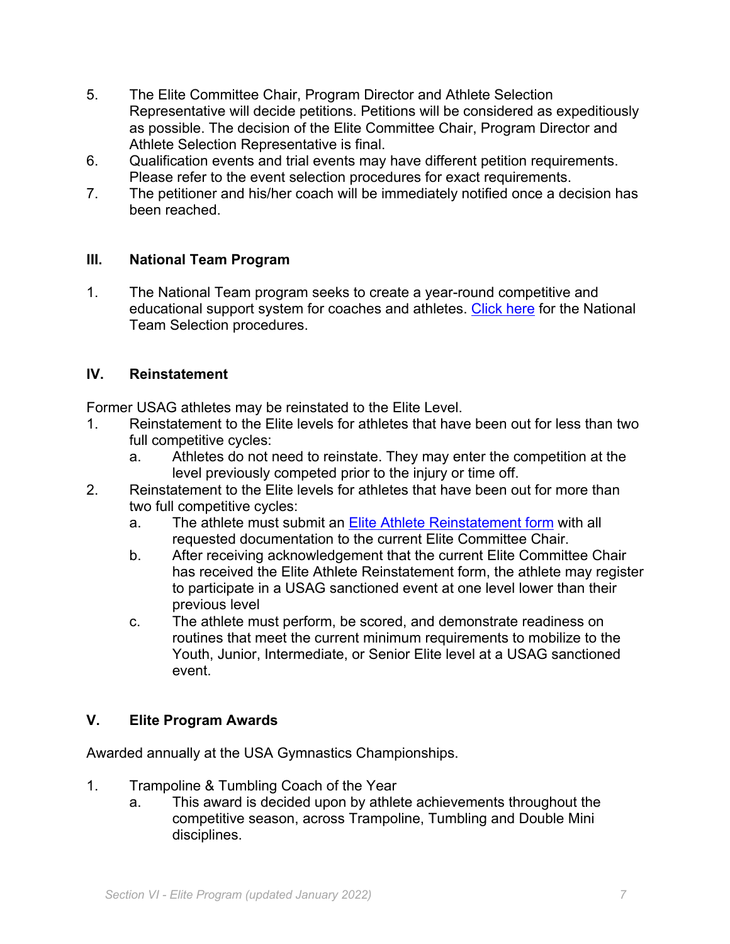- 5. The Elite Committee Chair, Program Director and Athlete Selection Representative will decide petitions. Petitions will be considered as expeditiously as possible. The decision of the Elite Committee Chair, Program Director and Athlete Selection Representative is final.
- 6. Qualification events and trial events may have different petition requirements. Please refer to the event selection procedures for exact requirements.
- 7. The petitioner and his/her coach will be immediately notified once a decision has been reached.

#### **III. National Team Program**

1. The National Team program seeks to create a year-round competitive and educational support system for coaches and athletes. Click here for the National Team Selection procedures.

#### **IV. Reinstatement**

Former USAG athletes may be reinstated to the Elite Level.

- 1. Reinstatement to the Elite levels for athletes that have been out for less than two full competitive cycles:
	- a. Athletes do not need to reinstate. They may enter the competition at the level previously competed prior to the injury or time off.
- 2. Reinstatement to the Elite levels for athletes that have been out for more than two full competitive cycles:
	- a. The athlete must submit an **Elite Athlete Reinstatement form** with all requested documentation to the current Elite Committee Chair.
	- b. After receiving acknowledgement that the current Elite Committee Chair has received the Elite Athlete Reinstatement form, the athlete may register to participate in a USAG sanctioned event at one level lower than their previous level
	- c. The athlete must perform, be scored, and demonstrate readiness on routines that meet the current minimum requirements to mobilize to the Youth, Junior, Intermediate, or Senior Elite level at a USAG sanctioned event.

## **V. Elite Program Awards**

Awarded annually at the USA Gymnastics Championships.

- 1. Trampoline & Tumbling Coach of the Year
	- a. This award is decided upon by athlete achievements throughout the competitive season, across Trampoline, Tumbling and Double Mini disciplines.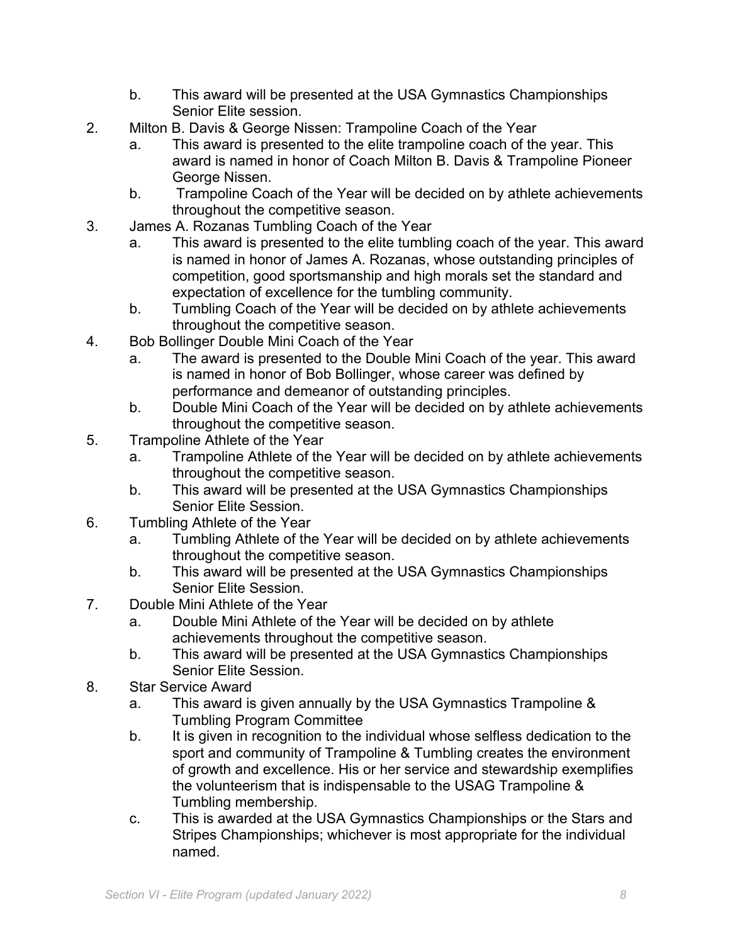- b. This award will be presented at the USA Gymnastics Championships Senior Elite session.
- 2. Milton B. Davis & George Nissen: Trampoline Coach of the Year
	- a. This award is presented to the elite trampoline coach of the year. This award is named in honor of Coach Milton B. Davis & Trampoline Pioneer George Nissen.
	- b. Trampoline Coach of the Year will be decided on by athlete achievements throughout the competitive season.
- 3. James A. Rozanas Tumbling Coach of the Year
	- a. This award is presented to the elite tumbling coach of the year. This award is named in honor of James A. Rozanas, whose outstanding principles of competition, good sportsmanship and high morals set the standard and expectation of excellence for the tumbling community.
	- b. Tumbling Coach of the Year will be decided on by athlete achievements throughout the competitive season.
- 4. Bob Bollinger Double Mini Coach of the Year
	- a. The award is presented to the Double Mini Coach of the year. This award is named in honor of Bob Bollinger, whose career was defined by performance and demeanor of outstanding principles.
	- b. Double Mini Coach of the Year will be decided on by athlete achievements throughout the competitive season.
- 5. Trampoline Athlete of the Year
	- a. Trampoline Athlete of the Year will be decided on by athlete achievements throughout the competitive season.
	- b. This award will be presented at the USA Gymnastics Championships Senior Elite Session.
- 6. Tumbling Athlete of the Year
	- a. Tumbling Athlete of the Year will be decided on by athlete achievements throughout the competitive season.
	- b. This award will be presented at the USA Gymnastics Championships Senior Elite Session.
- 7. Double Mini Athlete of the Year
	- a. Double Mini Athlete of the Year will be decided on by athlete achievements throughout the competitive season.
	- b. This award will be presented at the USA Gymnastics Championships Senior Elite Session.
- 8. Star Service Award
	- a. This award is given annually by the USA Gymnastics Trampoline & Tumbling Program Committee
	- b. It is given in recognition to the individual whose selfless dedication to the sport and community of Trampoline & Tumbling creates the environment of growth and excellence. His or her service and stewardship exemplifies the volunteerism that is indispensable to the USAG Trampoline & Tumbling membership.
	- c. This is awarded at the USA Gymnastics Championships or the Stars and Stripes Championships; whichever is most appropriate for the individual named.